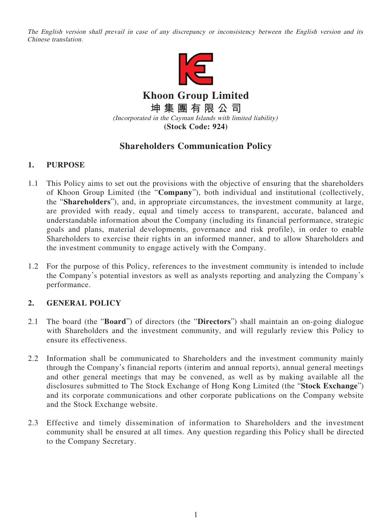The English version shall prevail in case of any discrepancy or inconsistency between the English version and its Chinese translation.



**Khoon Group Limited 坤集團有限公司** (Incorporated in the Cayman Islands with limited liability) **(Stock Code: 924)**

# **Shareholders Communication Policy**

## **1. PURPOSE**

- 1.1 This Policy aims to set out the provisions with the objective of ensuring that the shareholders of Khoon Group Limited (the "**Company**"), both individual and institutional (collectively, the "**Shareholders**"), and, in appropriate circumstances, the investment community at large, are provided with ready, equal and timely access to transparent, accurate, balanced and understandable information about the Company (including its financial performance, strategic goals and plans, material developments, governance and risk profile), in order to enable Shareholders to exercise their rights in an informed manner, and to allow Shareholders and the investment community to engage actively with the Company.
- 1.2 For the purpose of this Policy, references to the investment community is intended to include the Company's potential investors as well as analysts reporting and analyzing the Company's performance.

### **2. GENERAL POLICY**

- 2.1 The board (the "**Board**") of directors (the "**Directors**") shall maintain an on-going dialogue with Shareholders and the investment community, and will regularly review this Policy to ensure its effectiveness.
- 2.2 Information shall be communicated to Shareholders and the investment community mainly through the Company's financial reports (interim and annual reports), annual general meetings and other general meetings that may be convened, as well as by making available all the disclosures submitted to The Stock Exchange of Hong Kong Limited (the "**Stock Exchange**") and its corporate communications and other corporate publications on the Company website and the Stock Exchange website.
- 2.3 Effective and timely dissemination of information to Shareholders and the investment community shall be ensured at all times. Any question regarding this Policy shall be directed to the Company Secretary.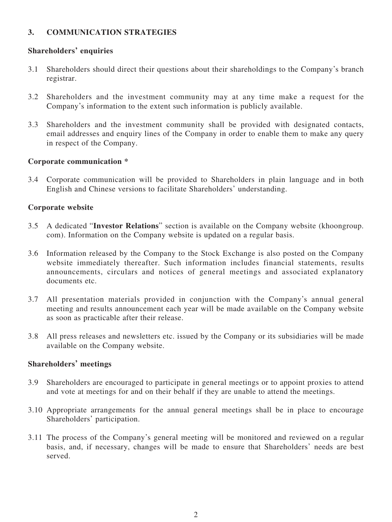### **3. COMMUNICATION STRATEGIES**

#### **Shareholders' enquiries**

- 3.1 Shareholders should direct their questions about their shareholdings to the Company's branch registrar.
- 3.2 Shareholders and the investment community may at any time make a request for the Company's information to the extent such information is publicly available.
- 3.3 Shareholders and the investment community shall be provided with designated contacts, email addresses and enquiry lines of the Company in order to enable them to make any query in respect of the Company.

#### **Corporate communication \***

3.4 Corporate communication will be provided to Shareholders in plain language and in both English and Chinese versions to facilitate Shareholders' understanding.

#### **Corporate website**

- 3.5 A dedicated "**Investor Relations**" section is available on the Company website (khoongroup. com). Information on the Company website is updated on a regular basis.
- 3.6 Information released by the Company to the Stock Exchange is also posted on the Company website immediately thereafter. Such information includes financial statements, results announcements, circulars and notices of general meetings and associated explanatory documents etc.
- 3.7 All presentation materials provided in conjunction with the Company's annual general meeting and results announcement each year will be made available on the Company website as soon as practicable after their release.
- 3.8 All press releases and newsletters etc. issued by the Company or its subsidiaries will be made available on the Company website.

#### **Shareholders' meetings**

- 3.9 Shareholders are encouraged to participate in general meetings or to appoint proxies to attend and vote at meetings for and on their behalf if they are unable to attend the meetings.
- 3.10 Appropriate arrangements for the annual general meetings shall be in place to encourage Shareholders' participation.
- 3.11 The process of the Company's general meeting will be monitored and reviewed on a regular basis, and, if necessary, changes will be made to ensure that Shareholders' needs are best served.